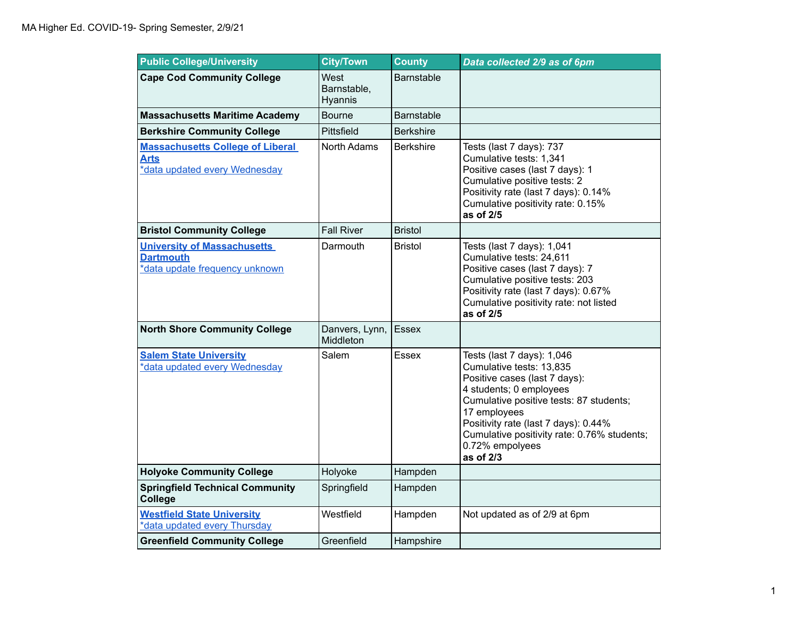| <b>Public College/University</b>                                                         | <b>City/Town</b>               | <b>County</b>    | Data collected 2/9 as of 6pm                                                                                                                                                                                                                                                                         |
|------------------------------------------------------------------------------------------|--------------------------------|------------------|------------------------------------------------------------------------------------------------------------------------------------------------------------------------------------------------------------------------------------------------------------------------------------------------------|
| <b>Cape Cod Community College</b>                                                        | West<br>Barnstable,<br>Hyannis | Barnstable       |                                                                                                                                                                                                                                                                                                      |
| <b>Massachusetts Maritime Academy</b>                                                    | <b>Bourne</b>                  | Barnstable       |                                                                                                                                                                                                                                                                                                      |
| <b>Berkshire Community College</b>                                                       | Pittsfield                     | <b>Berkshire</b> |                                                                                                                                                                                                                                                                                                      |
| <b>Massachusetts College of Liberal</b><br><b>Arts</b><br>*data updated every Wednesday  | North Adams                    | <b>Berkshire</b> | Tests (last 7 days): 737<br>Cumulative tests: 1,341<br>Positive cases (last 7 days): 1<br>Cumulative positive tests: 2<br>Positivity rate (last 7 days): 0.14%<br>Cumulative positivity rate: 0.15%<br>as of 2/5                                                                                     |
| <b>Bristol Community College</b>                                                         | <b>Fall River</b>              | <b>Bristol</b>   |                                                                                                                                                                                                                                                                                                      |
| <b>University of Massachusetts</b><br><b>Dartmouth</b><br>*data update frequency unknown | Darmouth                       | <b>Bristol</b>   | Tests (last 7 days): 1,041<br>Cumulative tests: 24,611<br>Positive cases (last 7 days): 7<br>Cumulative positive tests: 203<br>Positivity rate (last 7 days): 0.67%<br>Cumulative positivity rate: not listed<br>as of 2/5                                                                           |
| <b>North Shore Community College</b>                                                     | Danvers, Lynn,<br>Middleton    | Essex            |                                                                                                                                                                                                                                                                                                      |
| <b>Salem State University</b><br>*data updated every Wednesday                           | Salem                          | Essex            | Tests (last 7 days): 1,046<br>Cumulative tests: 13,835<br>Positive cases (last 7 days):<br>4 students; 0 employees<br>Cumulative positive tests: 87 students;<br>17 employees<br>Positivity rate (last 7 days): 0.44%<br>Cumulative positivity rate: 0.76% students;<br>0.72% empolyees<br>as of 2/3 |
| <b>Holyoke Community College</b>                                                         | Holyoke                        | Hampden          |                                                                                                                                                                                                                                                                                                      |
| <b>Springfield Technical Community</b><br><b>College</b>                                 | Springfield                    | Hampden          |                                                                                                                                                                                                                                                                                                      |
| <b>Westfield State University</b><br>*data updated every Thursday                        | Westfield                      | Hampden          | Not updated as of 2/9 at 6pm                                                                                                                                                                                                                                                                         |
| <b>Greenfield Community College</b>                                                      | Greenfield                     | Hampshire        |                                                                                                                                                                                                                                                                                                      |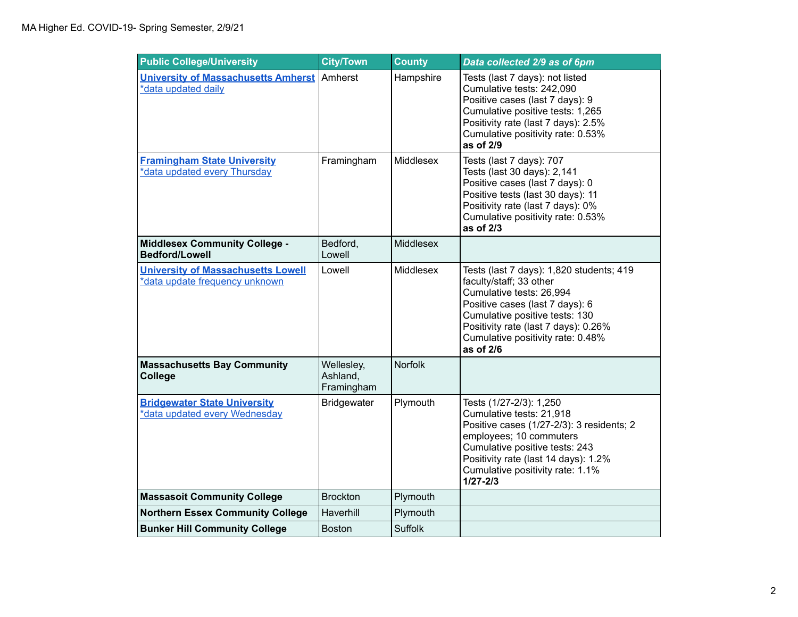| <b>Public College/University</b>                                            | <b>City/Town</b>                     | <b>County</b>  | Data collected 2/9 as of 6pm                                                                                                                                                                                                                                   |
|-----------------------------------------------------------------------------|--------------------------------------|----------------|----------------------------------------------------------------------------------------------------------------------------------------------------------------------------------------------------------------------------------------------------------------|
| <b>University of Massachusetts Amherst</b><br>*data updated daily           | Amherst                              | Hampshire      | Tests (last 7 days): not listed<br>Cumulative tests: 242,090<br>Positive cases (last 7 days): 9<br>Cumulative positive tests: 1,265<br>Positivity rate (last 7 days): 2.5%<br>Cumulative positivity rate: 0.53%<br>as of 2/9                                   |
| <b>Framingham State University</b><br>*data updated every Thursday          | Framingham                           | Middlesex      | Tests (last 7 days): 707<br>Tests (last 30 days): 2,141<br>Positive cases (last 7 days): 0<br>Positive tests (last 30 days): 11<br>Positivity rate (last 7 days): 0%<br>Cumulative positivity rate: 0.53%<br>as of 2/3                                         |
| <b>Middlesex Community College -</b><br><b>Bedford/Lowell</b>               | Bedford,<br>Lowell                   | Middlesex      |                                                                                                                                                                                                                                                                |
| <b>University of Massachusetts Lowell</b><br>*data update frequency unknown | Lowell                               | Middlesex      | Tests (last 7 days): 1,820 students; 419<br>faculty/staff; 33 other<br>Cumulative tests: 26,994<br>Positive cases (last 7 days): 6<br>Cumulative positive tests: 130<br>Positivity rate (last 7 days): 0.26%<br>Cumulative positivity rate: 0.48%<br>as of 2/6 |
| <b>Massachusetts Bay Community</b><br>College                               | Wellesley,<br>Ashland,<br>Framingham | <b>Norfolk</b> |                                                                                                                                                                                                                                                                |
| <b>Bridgewater State University</b><br>*data updated every Wednesday        | <b>Bridgewater</b>                   | Plymouth       | Tests (1/27-2/3): 1,250<br>Cumulative tests: 21,918<br>Positive cases (1/27-2/3): 3 residents; 2<br>employees; 10 commuters<br>Cumulative positive tests: 243<br>Positivity rate (last 14 days): 1.2%<br>Cumulative positivity rate: 1.1%<br>$1/27 - 2/3$      |
| <b>Massasoit Community College</b>                                          | <b>Brockton</b>                      | Plymouth       |                                                                                                                                                                                                                                                                |
| <b>Northern Essex Community College</b>                                     | Haverhill                            | Plymouth       |                                                                                                                                                                                                                                                                |
| <b>Bunker Hill Community College</b>                                        | <b>Boston</b>                        | <b>Suffolk</b> |                                                                                                                                                                                                                                                                |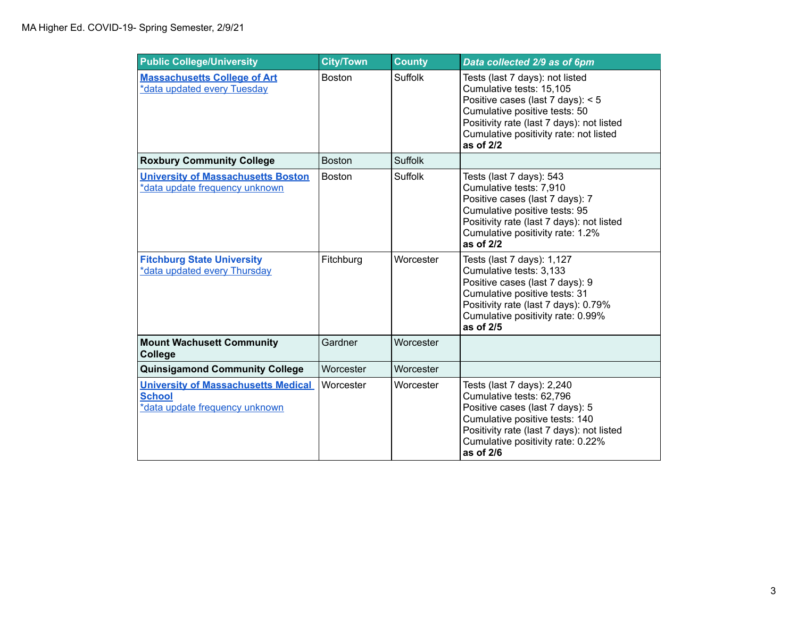| <b>Public College/University</b>                                                              | <b>City/Town</b> | <b>County</b>  | Data collected 2/9 as of 6pm                                                                                                                                                                                                            |
|-----------------------------------------------------------------------------------------------|------------------|----------------|-----------------------------------------------------------------------------------------------------------------------------------------------------------------------------------------------------------------------------------------|
| <b>Massachusetts College of Art</b><br>*data updated every Tuesday                            | <b>Boston</b>    | <b>Suffolk</b> | Tests (last 7 days): not listed<br>Cumulative tests: 15,105<br>Positive cases (last 7 days): < 5<br>Cumulative positive tests: 50<br>Positivity rate (last 7 days): not listed<br>Cumulative positivity rate: not listed<br>as of $2/2$ |
| <b>Roxbury Community College</b>                                                              | <b>Boston</b>    | <b>Suffolk</b> |                                                                                                                                                                                                                                         |
| <b>University of Massachusetts Boston</b><br>*data update frequency unknown                   | <b>Boston</b>    | Suffolk        | Tests (last 7 days): 543<br>Cumulative tests: 7,910<br>Positive cases (last 7 days): 7<br>Cumulative positive tests: 95<br>Positivity rate (last 7 days): not listed<br>Cumulative positivity rate: 1.2%<br>as of $2/2$                 |
| <b>Fitchburg State University</b><br>*data updated every Thursday                             | Fitchburg        | Worcester      | Tests (last 7 days): 1,127<br>Cumulative tests: 3,133<br>Positive cases (last 7 days): 9<br>Cumulative positive tests: 31<br>Positivity rate (last 7 days): 0.79%<br>Cumulative positivity rate: 0.99%<br>as of 2/5                     |
| <b>Mount Wachusett Community</b><br><b>College</b>                                            | Gardner          | Worcester      |                                                                                                                                                                                                                                         |
| <b>Quinsigamond Community College</b>                                                         | Worcester        | Worcester      |                                                                                                                                                                                                                                         |
| <b>University of Massachusetts Medical</b><br><b>School</b><br>*data update frequency unknown | Worcester        | Worcester      | Tests (last 7 days): 2,240<br>Cumulative tests: 62,796<br>Positive cases (last 7 days): 5<br>Cumulative positive tests: 140<br>Positivity rate (last 7 days): not listed<br>Cumulative positivity rate: 0.22%<br>as of $2/6$            |